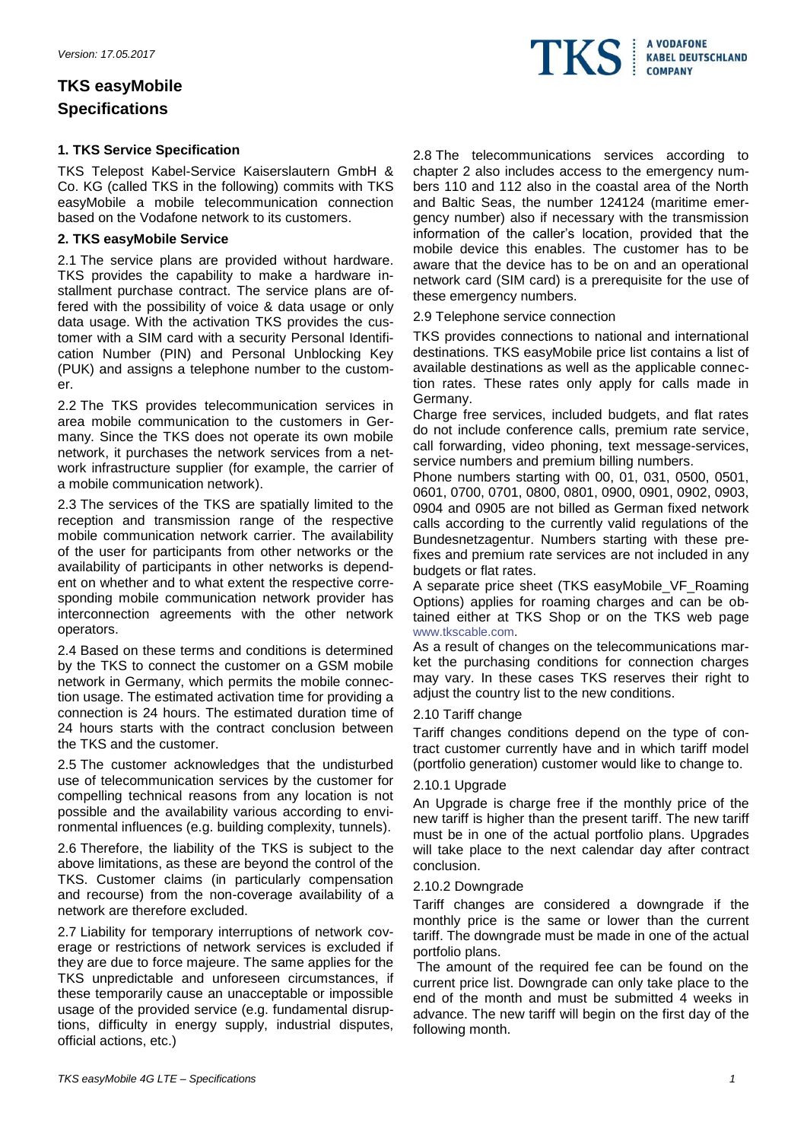# **TKS easyMobile Specifications**

# **1. TKS Service Specification**

TKS Telepost Kabel-Service Kaiserslautern GmbH & Co. KG (called TKS in the following) commits with TKS easyMobile a mobile telecommunication connection based on the Vodafone network to its customers.

# **2. TKS easyMobile Service**

2.1 The service plans are provided without hardware. TKS provides the capability to make a hardware installment purchase contract. The service plans are offered with the possibility of voice & data usage or only data usage. With the activation TKS provides the customer with a SIM card with a security Personal Identification Number (PIN) and Personal Unblocking Key (PUK) and assigns a telephone number to the customer.

2.2 The TKS provides telecommunication services in area mobile communication to the customers in Germany. Since the TKS does not operate its own mobile network, it purchases the network services from a network infrastructure supplier (for example, the carrier of a mobile communication network).

2.3 The services of the TKS are spatially limited to the reception and transmission range of the respective mobile communication network carrier. The availability of the user for participants from other networks or the availability of participants in other networks is dependent on whether and to what extent the respective corresponding mobile communication network provider has interconnection agreements with the other network operators.

2.4 Based on these terms and conditions is determined by the TKS to connect the customer on a GSM mobile network in Germany, which permits the mobile connection usage. The estimated activation time for providing a connection is 24 hours. The estimated duration time of 24 hours starts with the contract conclusion between the TKS and the customer.

2.5 The customer acknowledges that the undisturbed use of telecommunication services by the customer for compelling technical reasons from any location is not possible and the availability various according to environmental influences (e.g. building complexity, tunnels).

2.6 Therefore, the liability of the TKS is subject to the above limitations, as these are beyond the control of the TKS. Customer claims (in particularly compensation and recourse) from the non-coverage availability of a network are therefore excluded.

2.7 Liability for temporary interruptions of network coverage or restrictions of network services is excluded if they are due to force majeure. The same applies for the TKS unpredictable and unforeseen circumstances, if these temporarily cause an unacceptable or impossible usage of the provided service (e.g. fundamental disruptions, difficulty in energy supply, industrial disputes, official actions, etc.)

2.8 The telecommunications services according to chapter 2 also includes access to the emergency numbers 110 and 112 also in the coastal area of the North and Baltic Seas, the number 124124 (maritime emergency number) also if necessary with the transmission information of the caller's location, provided that the mobile device this enables. The customer has to be aware that the device has to be on and an operational network card (SIM card) is a prerequisite for the use of these emergency numbers.

2.9 Telephone service connection

TKS provides connections to national and international destinations. TKS easyMobile price list contains a list of available destinations as well as the applicable connection rates. These rates only apply for calls made in Germany.

Charge free services, included budgets, and flat rates do not include conference calls, premium rate service, call forwarding, video phoning, text message-services, service numbers and premium billing numbers.

Phone numbers starting with 00, 01, 031, 0500, 0501, 0601, 0700, 0701, 0800, 0801, 0900, 0901, 0902, 0903, 0904 and 0905 are not billed as German fixed network calls according to the currently valid regulations of the Bundesnetzagentur. Numbers starting with these prefixes and premium rate services are not included in any budgets or flat rates.

A separate price sheet (TKS easyMobile\_VF\_Roaming Options) applies for roaming charges and can be obtained either at TKS Shop or on the TKS web page [www.tkscable.com.](http://www.tkscable.com/)

As a result of changes on the telecommunications market the purchasing conditions for connection charges may vary. In these cases TKS reserves their right to adjust the country list to the new conditions.

# 2.10 Tariff change

Tariff changes conditions depend on the type of contract customer currently have and in which tariff model (portfolio generation) customer would like to change to.

# 2.10.1 Upgrade

An Upgrade is charge free if the monthly price of the new tariff is higher than the present tariff. The new tariff must be in one of the actual portfolio plans. Upgrades will take place to the next calendar day after contract conclusion.

# 2.10.2 Downgrade

Tariff changes are considered a downgrade if the monthly price is the same or lower than the current tariff. The downgrade must be made in one of the actual portfolio plans.

The amount of the required fee can be found on the current price list. Downgrade can only take place to the end of the month and must be submitted 4 weeks in advance. The new tariff will begin on the first day of the following month.

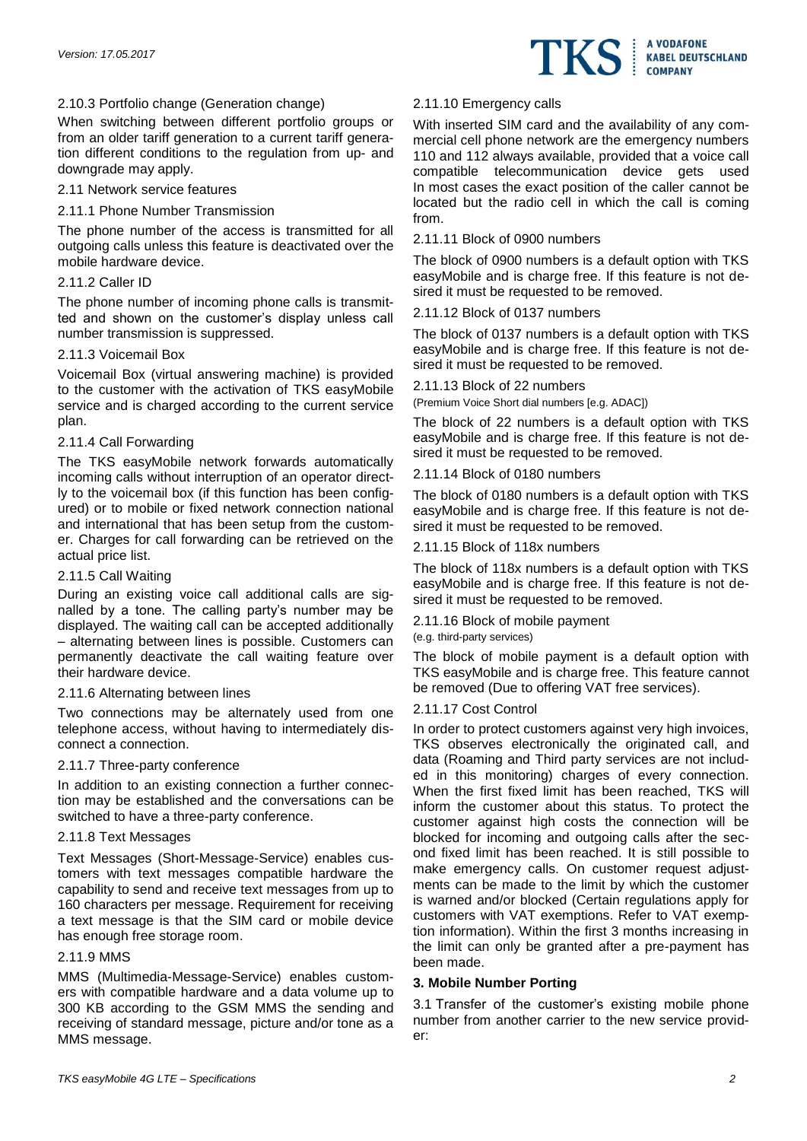

# 2.10.3 Portfolio change (Generation change)

When switching between different portfolio groups or from an older tariff generation to a current tariff generation different conditions to the regulation from up- and downgrade may apply.

# 2.11 Network service features

# 2.11.1 Phone Number Transmission

The phone number of the access is transmitted for all outgoing calls unless this feature is deactivated over the mobile hardware device.

# 2.11.2 Caller ID

The phone number of incoming phone calls is transmitted and shown on the customer's display unless call number transmission is suppressed.

# 2.11.3 Voicemail Box

Voicemail Box (virtual answering machine) is provided to the customer with the activation of TKS easyMobile service and is charged according to the current service plan.

# 2.11.4 Call Forwarding

The TKS easyMobile network forwards automatically incoming calls without interruption of an operator directly to the voicemail box (if this function has been configured) or to mobile or fixed network connection national and international that has been setup from the customer. Charges for call forwarding can be retrieved on the actual price list.

# 2.11.5 Call Waiting

During an existing voice call additional calls are signalled by a tone. The calling party's number may be displayed. The waiting call can be accepted additionally – alternating between lines is possible. Customers can permanently deactivate the call waiting feature over their hardware device.

# 2.11.6 Alternating between lines

Two connections may be alternately used from one telephone access, without having to intermediately disconnect a connection.

# 2.11.7 Three-party conference

In addition to an existing connection a further connection may be established and the conversations can be switched to have a three-party conference.

# 2.11.8 Text Messages

Text Messages (Short-Message-Service) enables customers with text messages compatible hardware the capability to send and receive text messages from up to 160 characters per message. Requirement for receiving a text message is that the SIM card or mobile device has enough free storage room.

# 2.11.9 MMS

MMS (Multimedia-Message-Service) enables customers with compatible hardware and a data volume up to 300 KB according to the GSM MMS the sending and receiving of standard message, picture and/or tone as a MMS message.

# 2.11.10 Emergency calls

With inserted SIM card and the availability of any commercial cell phone network are the emergency numbers 110 and 112 always available, provided that a voice call compatible telecommunication device gets used In most cases the exact position of the caller cannot be located but the radio cell in which the call is coming from.

# 2.11.11 Block of 0900 numbers

The block of 0900 numbers is a default option with TKS easyMobile and is charge free. If this feature is not desired it must be requested to be removed.

# 2.11.12 Block of 0137 numbers

The block of 0137 numbers is a default option with TKS easyMobile and is charge free. If this feature is not desired it must be requested to be removed.

# 2.11.13 Block of 22 numbers

(Premium Voice Short dial numbers [e.g. ADAC])

The block of 22 numbers is a default option with TKS easyMobile and is charge free. If this feature is not desired it must be requested to be removed.

# 2.11.14 Block of 0180 numbers

The block of 0180 numbers is a default option with TKS easyMobile and is charge free. If this feature is not desired it must be requested to be removed.

# 2.11.15 Block of 118x numbers

The block of 118x numbers is a default option with TKS easyMobile and is charge free. If this feature is not desired it must be requested to be removed.

# 2.11.16 Block of mobile payment

(e.g. third-party services)

The block of mobile payment is a default option with TKS easyMobile and is charge free. This feature cannot be removed (Due to offering VAT free services).

# 2.11.17 Cost Control

In order to protect customers against very high invoices, TKS observes electronically the originated call, and data (Roaming and Third party services are not included in this monitoring) charges of every connection. When the first fixed limit has been reached, TKS will inform the customer about this status. To protect the customer against high costs the connection will be blocked for incoming and outgoing calls after the second fixed limit has been reached. It is still possible to make emergency calls. On customer request adjustments can be made to the limit by which the customer is warned and/or blocked (Certain regulations apply for customers with VAT exemptions. Refer to VAT exemption information). Within the first 3 months increasing in the limit can only be granted after a pre-payment has been made.

# **3. Mobile Number Porting**

3.1 Transfer of the customer's existing mobile phone number from another carrier to the new service provider: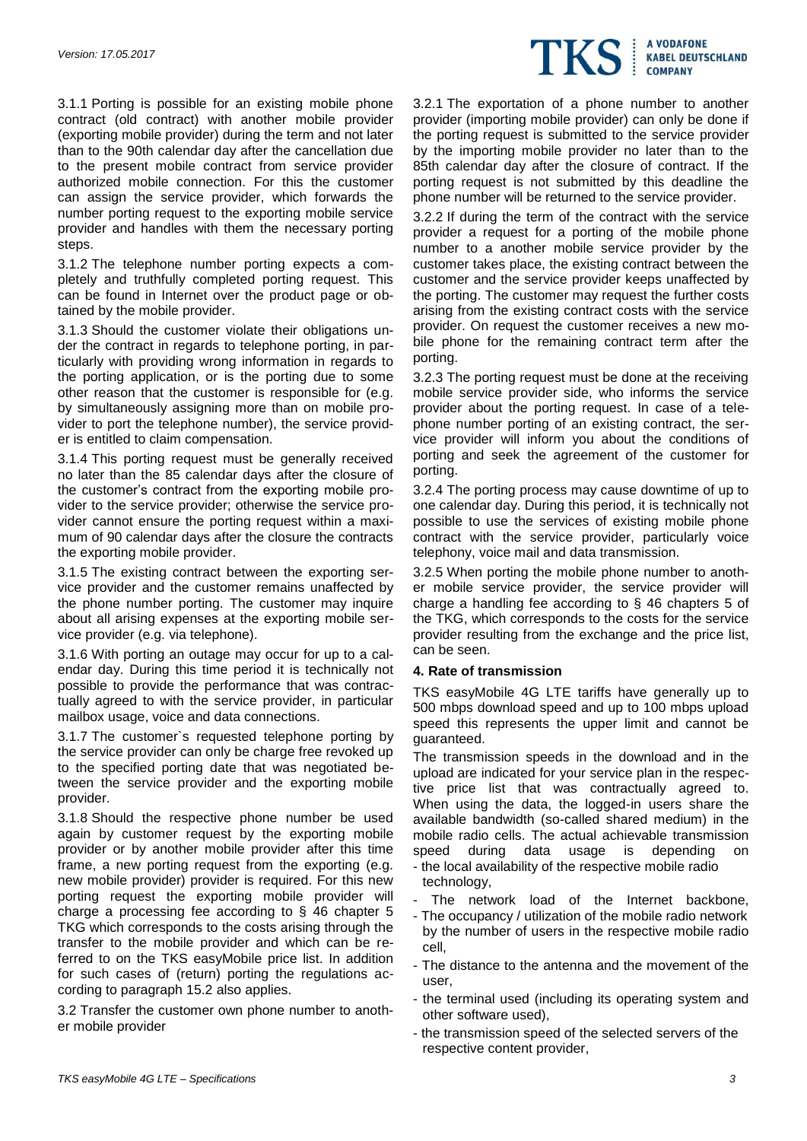

3.1.1 Porting is possible for an existing mobile phone contract (old contract) with another mobile provider (exporting mobile provider) during the term and not later than to the 90th calendar day after the cancellation due to the present mobile contract from service provider authorized mobile connection. For this the customer can assign the service provider, which forwards the number porting request to the exporting mobile service provider and handles with them the necessary porting steps.

3.1.2 The telephone number porting expects a completely and truthfully completed porting request. This can be found in Internet over the product page or obtained by the mobile provider.

3.1.3 Should the customer violate their obligations under the contract in regards to telephone porting, in particularly with providing wrong information in regards to the porting application, or is the porting due to some other reason that the customer is responsible for (e.g. by simultaneously assigning more than on mobile provider to port the telephone number), the service provider is entitled to claim compensation.

3.1.4 This porting request must be generally received no later than the 85 calendar days after the closure of the customer's contract from the exporting mobile provider to the service provider; otherwise the service provider cannot ensure the porting request within a maximum of 90 calendar days after the closure the contracts the exporting mobile provider.

3.1.5 The existing contract between the exporting service provider and the customer remains unaffected by the phone number porting. The customer may inquire about all arising expenses at the exporting mobile service provider (e.g. via telephone).

3.1.6 With porting an outage may occur for up to a calendar day. During this time period it is technically not possible to provide the performance that was contractually agreed to with the service provider, in particular mailbox usage, voice and data connections.

3.1.7 The customer`s requested telephone porting by the service provider can only be charge free revoked up to the specified porting date that was negotiated between the service provider and the exporting mobile provider.

3.1.8 Should the respective phone number be used again by customer request by the exporting mobile provider or by another mobile provider after this time frame, a new porting request from the exporting (e.g. new mobile provider) provider is required. For this new porting request the exporting mobile provider will charge a processing fee according to § 46 chapter 5 TKG which corresponds to the costs arising through the transfer to the mobile provider and which can be referred to on the TKS easyMobile price list. In addition for such cases of (return) porting the regulations according to paragraph 15.2 also applies.

3.2 Transfer the customer own phone number to another mobile provider

3.2.1 The exportation of a phone number to another provider (importing mobile provider) can only be done if the porting request is submitted to the service provider by the importing mobile provider no later than to the 85th calendar day after the closure of contract. If the porting request is not submitted by this deadline the phone number will be returned to the service provider.

3.2.2 If during the term of the contract with the service provider a request for a porting of the mobile phone number to a another mobile service provider by the customer takes place, the existing contract between the customer and the service provider keeps unaffected by the porting. The customer may request the further costs arising from the existing contract costs with the service provider. On request the customer receives a new mobile phone for the remaining contract term after the porting.

3.2.3 The porting request must be done at the receiving mobile service provider side, who informs the service provider about the porting request. In case of a telephone number porting of an existing contract, the service provider will inform you about the conditions of porting and seek the agreement of the customer for porting.

3.2.4 The porting process may cause downtime of up to one calendar day. During this period, it is technically not possible to use the services of existing mobile phone contract with the service provider, particularly voice telephony, voice mail and data transmission.

3.2.5 When porting the mobile phone number to another mobile service provider, the service provider will charge a handling fee according to § 46 chapters 5 of the TKG, which corresponds to the costs for the service provider resulting from the exchange and the price list, can be seen.

# **4. Rate of transmission**

TKS easyMobile 4G LTE tariffs have generally up to 500 mbps download speed and up to 100 mbps upload speed this represents the upper limit and cannot be guaranteed.

The transmission speeds in the download and in the upload are indicated for your service plan in the respective price list that was contractually agreed to. When using the data, the logged-in users share the available bandwidth (so-called shared medium) in the mobile radio cells. The actual achievable transmission speed during data usage is depending on - the local availability of the respective mobile radio

- technology,
- The network load of the Internet backbone,
- The occupancy / utilization of the mobile radio network by the number of users in the respective mobile radio cell,
- The distance to the antenna and the movement of the user,
- the terminal used (including its operating system and other software used),
- the transmission speed of the selected servers of the respective content provider,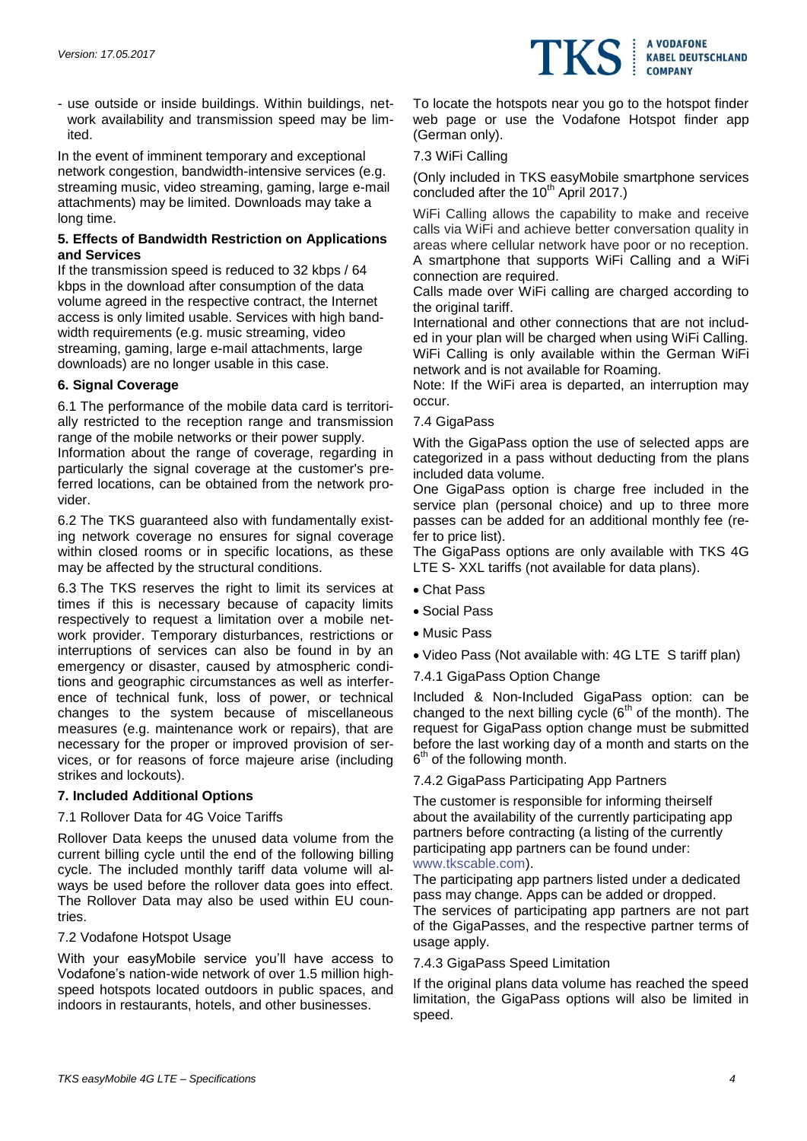

- use outside or inside buildings. Within buildings, network availability and transmission speed may be limited.

In the event of imminent temporary and exceptional network congestion, bandwidth-intensive services (e.g. streaming music, video streaming, gaming, large e-mail attachments) may be limited. Downloads may take a long time.

# **5. Effects of Bandwidth Restriction on Applications and Services**

If the transmission speed is reduced to 32 kbps / 64 kbps in the download after consumption of the data volume agreed in the respective contract, the Internet access is only limited usable. Services with high bandwidth requirements (e.g. music streaming, video streaming, gaming, large e-mail attachments, large downloads) are no longer usable in this case.

# **6. Signal Coverage**

6.1 The performance of the mobile data card is territorially restricted to the reception range and transmission range of the mobile networks or their power supply.

Information about the range of coverage, regarding in particularly the signal coverage at the customer's preferred locations, can be obtained from the network provider.

6.2 The TKS guaranteed also with fundamentally existing network coverage no ensures for signal coverage within closed rooms or in specific locations, as these may be affected by the structural conditions.

6.3 The TKS reserves the right to limit its services at times if this is necessary because of capacity limits respectively to request a limitation over a mobile network provider. Temporary disturbances, restrictions or interruptions of services can also be found in by an emergency or disaster, caused by atmospheric conditions and geographic circumstances as well as interference of technical funk, loss of power, or technical changes to the system because of miscellaneous measures (e.g. maintenance work or repairs), that are necessary for the proper or improved provision of services, or for reasons of force majeure arise (including strikes and lockouts).

# **7. Included Additional Options**

# 7.1 Rollover Data for 4G Voice Tariffs

Rollover Data keeps the unused data volume from the current billing cycle until the end of the following billing cycle. The included monthly tariff data volume will always be used before the rollover data goes into effect. The Rollover Data may also be used within EU countries.

# 7.2 Vodafone Hotspot Usage

With your easyMobile service you'll have access to Vodafone's nation-wide network of over 1.5 million highspeed hotspots located outdoors in public spaces, and indoors in restaurants, hotels, and other businesses.

To locate the hotspots near you go to the hotspot finder web page or use the Vodafone Hotspot finder app (German only).

#### 7.3 WiFi Calling

(Only included in TKS easyMobile smartphone services concluded after the 10<sup>th</sup> April 2017.)

WiFi Calling allows the capability to make and receive calls via WiFi and achieve better conversation quality in areas where cellular network have poor or no reception. A smartphone that supports WiFi Calling and a WiFi connection are required.

Calls made over WiFi calling are charged according to the original tariff.

International and other connections that are not included in your plan will be charged when using WiFi Calling. WiFi Calling is only available within the German WiFi network and is not available for Roaming.

Note: If the WiFi area is departed, an interruption may occur.

#### 7.4 GigaPass

With the GigaPass option the use of selected apps are categorized in a pass without deducting from the plans included data volume.

One GigaPass option is charge free included in the service plan (personal choice) and up to three more passes can be added for an additional monthly fee (refer to price list).

The GigaPass options are only available with TKS 4G LTE S- XXL tariffs (not available for data plans).

- Chat Pass
- Social Pass
- Music Pass
- Video Pass (Not available with: 4G LTE S tariff plan)
- 7.4.1 GigaPass Option Change

Included & Non-Included GigaPass option: can be changed to the next billing cycle  $(6<sup>th</sup>$  of the month). The request for GigaPass option change must be submitted before the last working day of a month and starts on the 6<sup>th</sup> of the following month.

7.4.2 GigaPass Participating App Partners

The customer is responsible for informing theirself about the availability of the currently participating app partners before contracting (a listing of the currently participating app partners can be found under: [www.tkscable.com\)](http://www.tkscable.com/).

The participating app partners listed under a dedicated pass may change. Apps can be added or dropped. The services of participating app partners are not part of the GigaPasses, and the respective partner terms of usage apply.

#### 7.4.3 GigaPass Speed Limitation

If the original plans data volume has reached the speed limitation, the GigaPass options will also be limited in speed.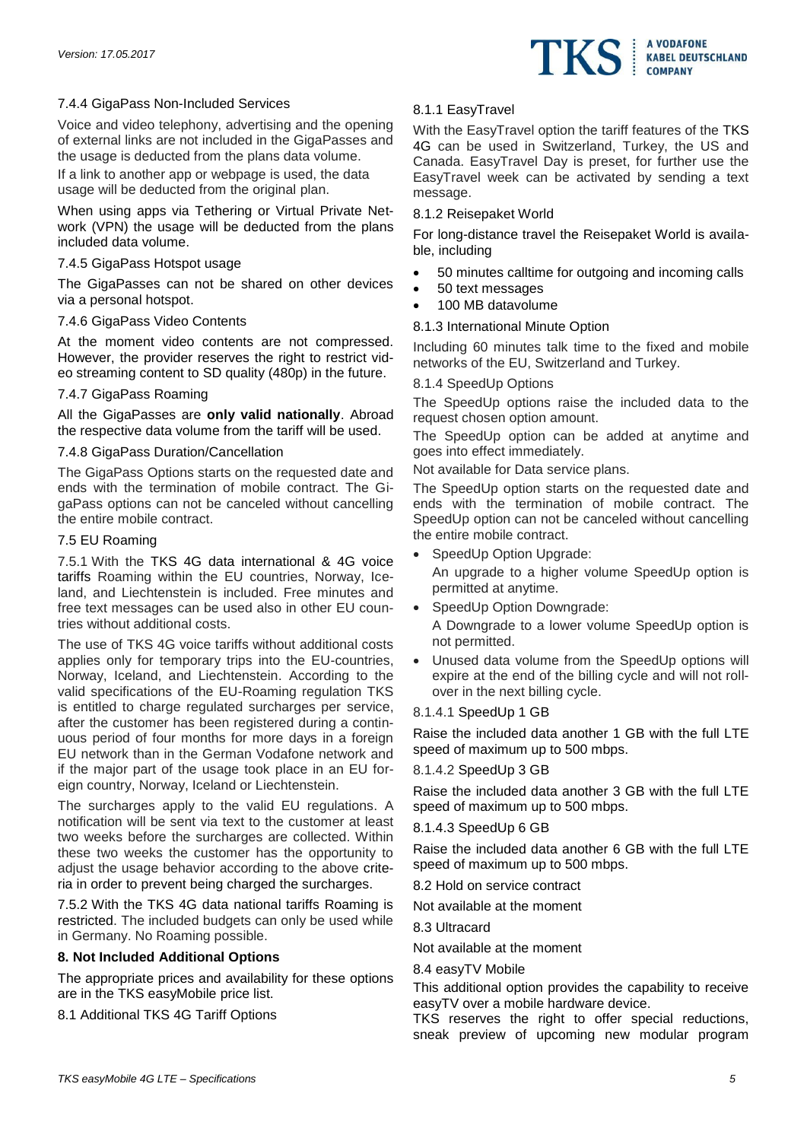

# 7.4.4 GigaPass Non-Included Services

Voice and video telephony, advertising and the opening of external links are not included in the GigaPasses and the usage is deducted from the plans data volume.

If a link to another app or webpage is used, the data usage will be deducted from the original plan.

When using apps via Tethering or Virtual Private Network (VPN) the usage will be deducted from the plans included data volume.

# 7.4.5 GigaPass Hotspot usage

The GigaPasses can not be shared on other devices via a personal hotspot.

# 7.4.6 GigaPass Video Contents

At the moment video contents are not compressed. However, the provider reserves the right to restrict video streaming content to SD quality (480p) in the future.

#### 7.4.7 GigaPass Roaming

All the GigaPasses are **only valid nationally**. Abroad the respective data volume from the tariff will be used.

# 7.4.8 GigaPass Duration/Cancellation

The GigaPass Options starts on the requested date and ends with the termination of mobile contract. The GigaPass options can not be canceled without cancelling the entire mobile contract.

#### 7.5 EU Roaming

7.5.1 With the TKS 4G data international & 4G voice tariffs Roaming within the EU countries, Norway, Iceland, and Liechtenstein is included. Free minutes and free text messages can be used also in other EU countries without additional costs.

The use of TKS 4G voice tariffs without additional costs applies only for temporary trips into the EU-countries, Norway, Iceland, and Liechtenstein. According to the valid specifications of the EU-Roaming regulation TKS is entitled to charge regulated surcharges per service, after the customer has been registered during a continuous period of four months for more days in a foreign EU network than in the German Vodafone network and if the major part of the usage took place in an EU foreign country, Norway, Iceland or Liechtenstein.

The surcharges apply to the valid EU regulations. A notification will be sent via text to the customer at least two weeks before the surcharges are collected. Within these two weeks the customer has the opportunity to adjust the usage behavior according to the above criteria in order to prevent being charged the surcharges.

7.5.2 With the TKS 4G data national tariffs Roaming is restricted. The included budgets can only be used while in Germany. No Roaming possible.

# **8. Not Included Additional Options**

The appropriate prices and availability for these options are in the TKS easyMobile price list.

8.1 Additional TKS 4G Tariff Options

# 8.1.1 EasyTravel

With the EasyTravel option the tariff features of the TKS 4G can be used in Switzerland, Turkey, the US and Canada. EasyTravel Day is preset, for further use the EasyTravel week can be activated by sending a text message.

# 8.1.2 Reisepaket World

For long-distance travel the Reisepaket World is available, including

- 50 minutes calltime for outgoing and incoming calls
- 50 text messages
- 100 MB datavolume

# 8.1.3 International Minute Option

Including 60 minutes talk time to the fixed and mobile networks of the EU, Switzerland and Turkey.

# 8.1.4 SpeedUp Options

The SpeedUp options raise the included data to the request chosen option amount.

The SpeedUp option can be added at anytime and goes into effect immediately.

Not available for Data service plans.

The SpeedUp option starts on the requested date and ends with the termination of mobile contract. The SpeedUp option can not be canceled without cancelling the entire mobile contract.

SpeedUp Option Upgrade:

An upgrade to a higher volume SpeedUp option is permitted at anytime.

SpeedUp Option Downgrade:

A Downgrade to a lower volume SpeedUp option is not permitted.

 Unused data volume from the SpeedUp options will expire at the end of the billing cycle and will not rollover in the next billing cycle.

# 8.1.4.1 SpeedUp 1 GB

Raise the included data another 1 GB with the full LTE speed of maximum up to 500 mbps.

#### 8.1.4.2 SpeedUp 3 GB

Raise the included data another 3 GB with the full LTE speed of maximum up to 500 mbps.

# 8.1.4.3 SpeedUp 6 GB

Raise the included data another 6 GB with the full LTE speed of maximum up to 500 mbps.

8.2 Hold on service contract

Not available at the moment

8.3 Ultracard

Not available at the moment

# 8.4 easyTV Mobile

This additional option provides the capability to receive easyTV over a mobile hardware device.

TKS reserves the right to offer special reductions, sneak preview of upcoming new modular program